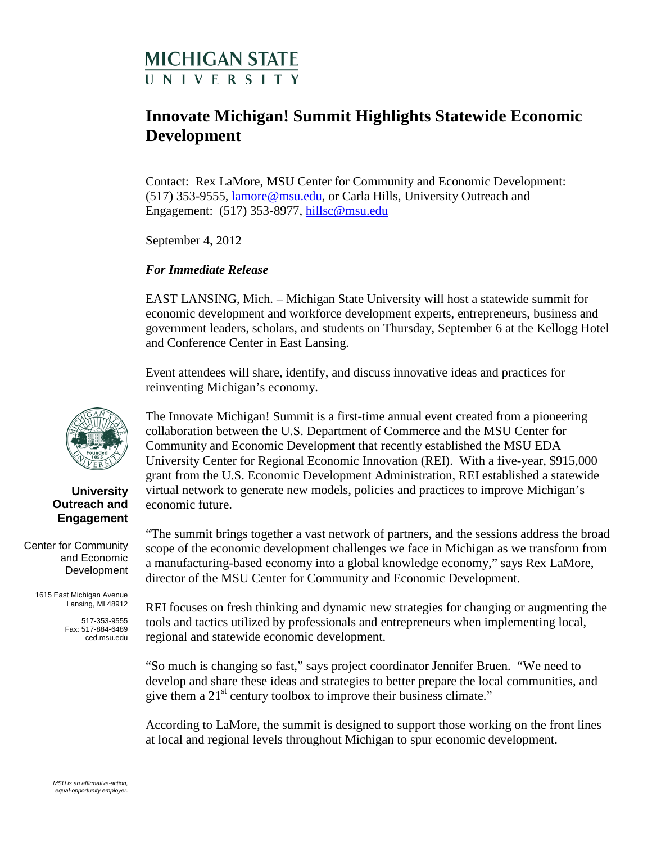## **MICHIGAN STATE II N I V F R S I T Y**

### **Innovate Michigan! Summit Highlights Statewide Economic Development**

Contact: Rex LaMore, MSU Center for Community and Economic Development: (517) 353-9555, [lamore@msu.edu,](mailto:lamore@msu.edu) or Carla Hills, University Outreach and Engagement: (517) 353-8977, [hillsc@msu.edu](mailto:hillsc@msu.edu)

September 4, 2012

#### *For Immediate Release*

EAST LANSING, Mich. – Michigan State University will host a statewide summit for economic development and workforce development experts, entrepreneurs, business and government leaders, scholars, and students on Thursday, September 6 at the Kellogg Hotel and Conference Center in East Lansing.

Event attendees will share, identify, and discuss innovative ideas and practices for reinventing Michigan's economy.

The Innovate Michigan! Summit is a first-time annual event created from a pioneering collaboration between the U.S. Department of Commerce and the MSU Center for Community and Economic Development that recently established the MSU EDA University Center for Regional Economic Innovation (REI). With a five-year, \$915,000 grant from the U.S. Economic Development Administration, REI established a statewide virtual network to generate new models, policies and practices to improve Michigan's economic future.

"The summit brings together a vast network of partners, and the sessions address the broad scope of the economic development challenges we face in Michigan as we transform from a manufacturing-based economy into a global knowledge economy," says Rex LaMore, director of the MSU Center for Community and Economic Development.

REI focuses on fresh thinking and dynamic new strategies for changing or augmenting the tools and tactics utilized by professionals and entrepreneurs when implementing local, regional and statewide economic development.

"So much is changing so fast," says project coordinator Jennifer Bruen. "We need to develop and share these ideas and strategies to better prepare the local communities, and give them a  $21<sup>st</sup>$  century toolbox to improve their business climate."

According to LaMore, the summit is designed to support those working on the front lines at local and regional levels throughout Michigan to spur economic development.



#### **University Outreach and Engagement**

Center for Community and Economic Development

> 1615 East Michigan Avenue Lansing, MI 48912

> > 517-353-9555 Fax: 517-884-6489 ced.msu.edu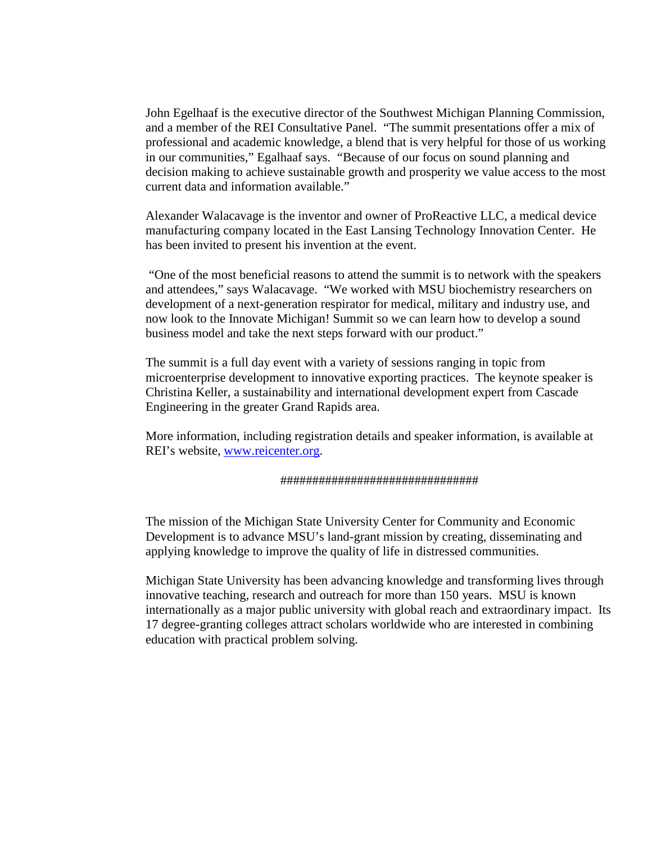John Egelhaaf is the executive director of the Southwest Michigan Planning Commission, and a member of the REI Consultative Panel. "The summit presentations offer a mix of professional and academic knowledge, a blend that is very helpful for those of us working in our communities," Egalhaaf says. "Because of our focus on sound planning and decision making to achieve sustainable growth and prosperity we value access to the most current data and information available."

Alexander Walacavage is the inventor and owner of ProReactive LLC, a medical device manufacturing company located in the East Lansing Technology Innovation Center. He has been invited to present his invention at the event.

"One of the most beneficial reasons to attend the summit is to network with the speakers and attendees," says Walacavage. "We worked with MSU biochemistry researchers on development of a next-generation respirator for medical, military and industry use, and now look to the Innovate Michigan! Summit so we can learn how to develop a sound business model and take the next steps forward with our product."

The summit is a full day event with a variety of sessions ranging in topic from microenterprise development to innovative exporting practices. The keynote speaker is Christina Keller, a sustainability and international development expert from Cascade Engineering in the greater Grand Rapids area.

More information, including registration details and speaker information, is available at REI's website, [www.reicenter.org.](http://www.reicenter.org/)

#### ###############################

The mission of the Michigan State University Center for Community and Economic Development is to advance MSU's land-grant mission by creating, disseminating and applying knowledge to improve the quality of life in distressed communities.

Michigan State University has been advancing knowledge and transforming lives through innovative teaching, research and outreach for more than 150 years. MSU is known internationally as a major public university with global reach and extraordinary impact. Its 17 degree-granting colleges attract scholars worldwide who are interested in combining education with practical problem solving.